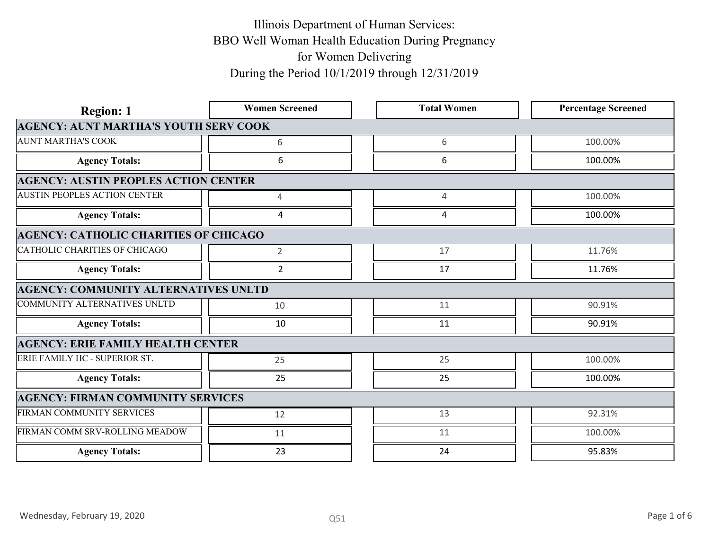| <b>Region: 1</b>                             | <b>Women Screened</b> | <b>Total Women</b> | <b>Percentage Screened</b> |             |
|----------------------------------------------|-----------------------|--------------------|----------------------------|-------------|
| <b>AGENCY: AUNT MARTHA'S YOUTH SERV COOK</b> |                       |                    |                            |             |
| <b>AUNT MARTHA'S COOK</b>                    | 6                     | 6                  | 100.00%                    |             |
| <b>Agency Totals:</b>                        | 6                     | 6                  | 100.00%                    |             |
| <b>AGENCY: AUSTIN PEOPLES ACTION CENTER</b>  |                       |                    |                            |             |
| <b>AUSTIN PEOPLES ACTION CENTER</b>          | $\overline{4}$        | $\overline{4}$     | 100.00%                    |             |
| <b>Agency Totals:</b>                        | 4                     | $\Delta$           | 100.00%                    |             |
| <b>AGENCY: CATHOLIC CHARITIES OF CHICAGO</b> |                       |                    |                            |             |
| CATHOLIC CHARITIES OF CHICAGO                | $2^{\circ}$           | 17                 | 11.76%                     |             |
| <b>Agency Totals:</b>                        | $\overline{2}$        | 17                 | 11.76%                     |             |
| <b>AGENCY: COMMUNITY ALTERNATIVES UNLTD</b>  |                       |                    |                            |             |
| COMMUNITY ALTERNATIVES UNLTD                 | 10                    | 11                 | 90.91%                     |             |
| <b>Agency Totals:</b>                        | 10                    | 11                 | 90.91%                     |             |
| <b>AGENCY: ERIE FAMILY HEALTH CENTER</b>     |                       |                    |                            |             |
| ERIE FAMILY HC - SUPERIOR ST.                | 25                    | 25                 | 100.00%                    |             |
| <b>Agency Totals:</b>                        | 25                    | 25                 | 100.00%                    |             |
| <b>AGENCY: FIRMAN COMMUNITY SERVICES</b>     |                       |                    |                            |             |
| FIRMAN COMMUNITY SERVICES                    | 12                    | 13                 | 92.31%                     |             |
| FIRMAN COMM SRV-ROLLING MEADOW               | 11                    | 11                 | 100.00%                    |             |
| <b>Agency Totals:</b>                        | 23                    | 24                 | 95.83%                     |             |
|                                              |                       |                    |                            |             |
|                                              |                       |                    |                            |             |
| Wednesday, February 19, 2020                 | Q51                   |                    |                            | Page 1 of 6 |
|                                              |                       |                    |                            |             |
|                                              |                       |                    |                            |             |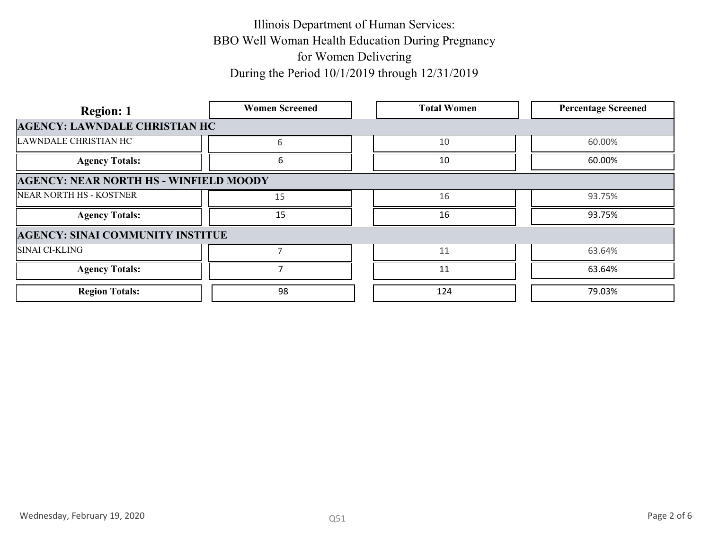| <b>Region: 1</b>                              | <b>Women Screened</b> | <b>Total Women</b> | <b>Percentage Screened</b> |
|-----------------------------------------------|-----------------------|--------------------|----------------------------|
| <b>AGENCY: LAWNDALE CHRISTIAN HC</b>          |                       |                    |                            |
| LAWNDALE CHRISTIAN HC                         | 6                     | 10                 | 60.00%                     |
| <b>Agency Totals:</b>                         | 6                     | $10\,$             | 60.00%                     |
| <b>AGENCY: NEAR NORTH HS - WINFIELD MOODY</b> |                       |                    |                            |
| NEAR NORTH HS - KOSTNER                       | 15                    | 16                 | 93.75%                     |
| <b>Agency Totals:</b>                         | 15                    | 16                 | 93.75%                     |
| <b>AGENCY: SINAI COMMUNITY INSTITUE</b>       |                       |                    |                            |
| SINAI CI-KLING                                | $7\overline{ }$       | 11                 | 63.64%                     |
| <b>Agency Totals:</b>                         | $\overline{7}$        | 11                 | 63.64%                     |
| <b>Region Totals:</b>                         | 98                    | 124                | 79.03%                     |
|                                               |                       |                    |                            |
|                                               |                       |                    |                            |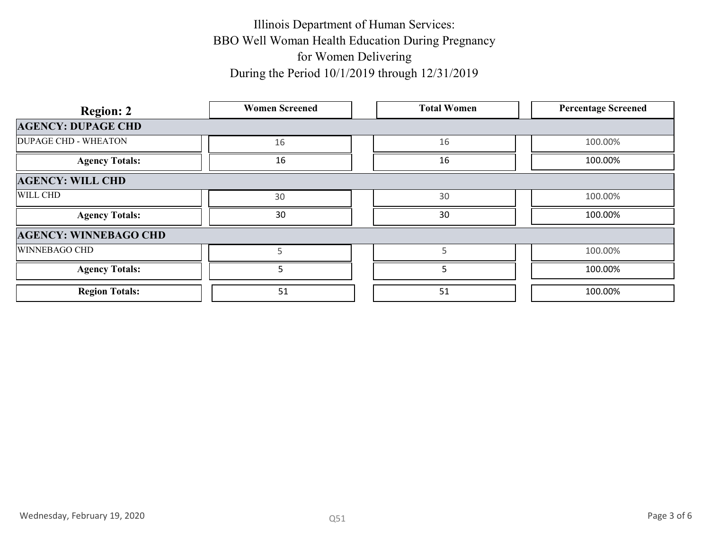| <b>Region: 2</b>             | <b>Women Screened</b> | <b>Total Women</b> | <b>Percentage Screened</b> |
|------------------------------|-----------------------|--------------------|----------------------------|
| <b>AGENCY: DUPAGE CHD</b>    |                       |                    |                            |
| <b>DUPAGE CHD - WHEATON</b>  | 16                    | 16                 | 100.00%                    |
| <b>Agency Totals:</b>        | 16                    | 16                 | 100.00%                    |
| <b>AGENCY: WILL CHD</b>      |                       |                    |                            |
| WILL CHD                     | 30                    | 30                 | 100.00%                    |
| <b>Agency Totals:</b>        | $30\,$                | 30                 | 100.00%                    |
| <b>AGENCY: WINNEBAGO CHD</b> |                       |                    |                            |
| WINNEBAGO CHD                | 5                     | 5                  | 100.00%                    |
| <b>Agency Totals:</b>        | 5                     | 5                  | 100.00%                    |
| <b>Region Totals:</b>        | 51                    | 51                 | 100.00%                    |
|                              |                       |                    |                            |
| Wednesday, February 19, 2020 | Q51                   |                    | Page 3 of 6                |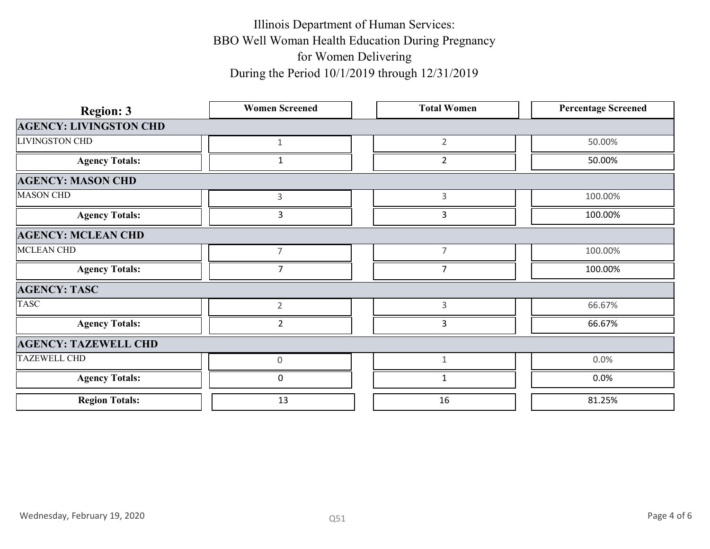| <b>Region: 3</b>              | <b>Women Screened</b> | <b>Total Women</b> | <b>Percentage Screened</b> |  |
|-------------------------------|-----------------------|--------------------|----------------------------|--|
| <b>AGENCY: LIVINGSTON CHD</b> |                       |                    |                            |  |
| <b>LIVINGSTON CHD</b>         | $\mathbf{1}$          | $\overline{2}$     | 50.00%                     |  |
| <b>Agency Totals:</b>         | $\mathbf{1}$          | $\overline{2}$     | 50.00%                     |  |
| <b>AGENCY: MASON CHD</b>      |                       |                    |                            |  |
| <b>MASON CHD</b>              | $\mathsf{3}$          | $\mathbf{3}$       | 100.00%                    |  |
| <b>Agency Totals:</b>         | $\overline{3}$        | $\overline{3}$     | 100.00%                    |  |
| <b>AGENCY: MCLEAN CHD</b>     |                       |                    |                            |  |
| MCLEAN CHD                    | $\overline{7}$        | $\overline{7}$     | 100.00%                    |  |
| <b>Agency Totals:</b>         | $\overline{7}$        | $\overline{7}$     | 100.00%                    |  |
| <b>AGENCY: TASC</b>           |                       |                    |                            |  |
| <b>TASC</b>                   | $\overline{2}$        | $\mathbf{3}$       | 66.67%                     |  |
| <b>Agency Totals:</b>         | $\overline{2}$        | $\mathbf{3}$       | 66.67%                     |  |
| <b>AGENCY: TAZEWELL CHD</b>   |                       |                    |                            |  |
| TAZEWELL CHD                  | $\mathsf{O}\xspace$   | $\mathbf{1}$       | 0.0%                       |  |
| <b>Agency Totals:</b>         | $\mathbf 0$           | $\mathbf{1}$       | 0.0%                       |  |
| <b>Region Totals:</b>         | 13                    | 16                 | 81.25%                     |  |
|                               |                       |                    |                            |  |
|                               |                       |                    |                            |  |
|                               |                       |                    |                            |  |
|                               |                       |                    |                            |  |
|                               |                       |                    |                            |  |
| Wednesday, February 19, 2020  | Q51                   |                    | Page 4 of 6                |  |
|                               |                       |                    |                            |  |
|                               |                       |                    |                            |  |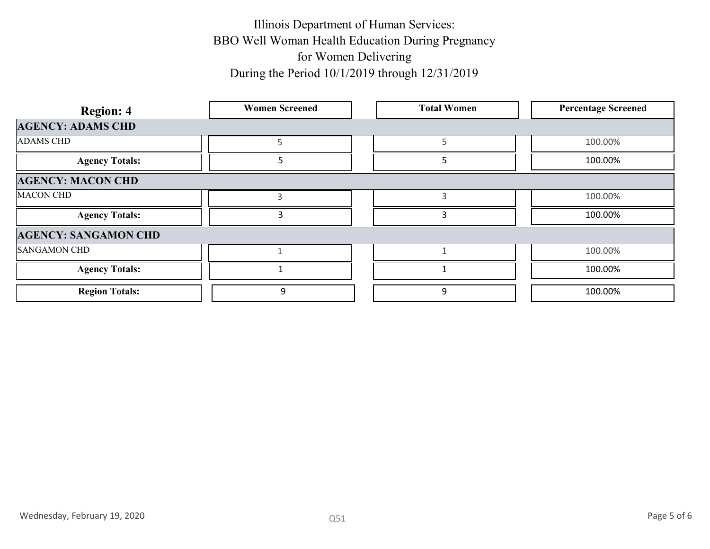| <b>Region: 4</b>             | <b>Women Screened</b> | <b>Total Women</b>      | <b>Percentage Screened</b> |
|------------------------------|-----------------------|-------------------------|----------------------------|
| <b>AGENCY: ADAMS CHD</b>     |                       |                         |                            |
| ADAMS CHD                    | 5                     | $5\phantom{.0}$         | 100.00%                    |
| <b>Agency Totals:</b>        | $5\overline{)}$       | 5                       | 100.00%                    |
| <b>AGENCY: MACON CHD</b>     |                       |                         |                            |
| <b>MACON CHD</b>             | $\mathbf{3}$          | $\overline{3}$          | 100.00%                    |
| <b>Agency Totals:</b>        | $\mathbf{3}$          | $\overline{\mathbf{3}}$ | 100.00%                    |
| <b>AGENCY: SANGAMON CHD</b>  |                       |                         |                            |
| SANGAMON CHD                 | $\mathbf{1}$          | $\mathbf{1}$            | 100.00%                    |
| <b>Agency Totals:</b>        | $\mathbf{1}$          | $\mathbf{1}$            | 100.00%                    |
| <b>Region Totals:</b>        | $\boldsymbol{9}$      | $9\,$                   | 100.00%                    |
|                              |                       |                         |                            |
| Wednesday, February 19, 2020 | Q51                   |                         | Page 5 of 6                |